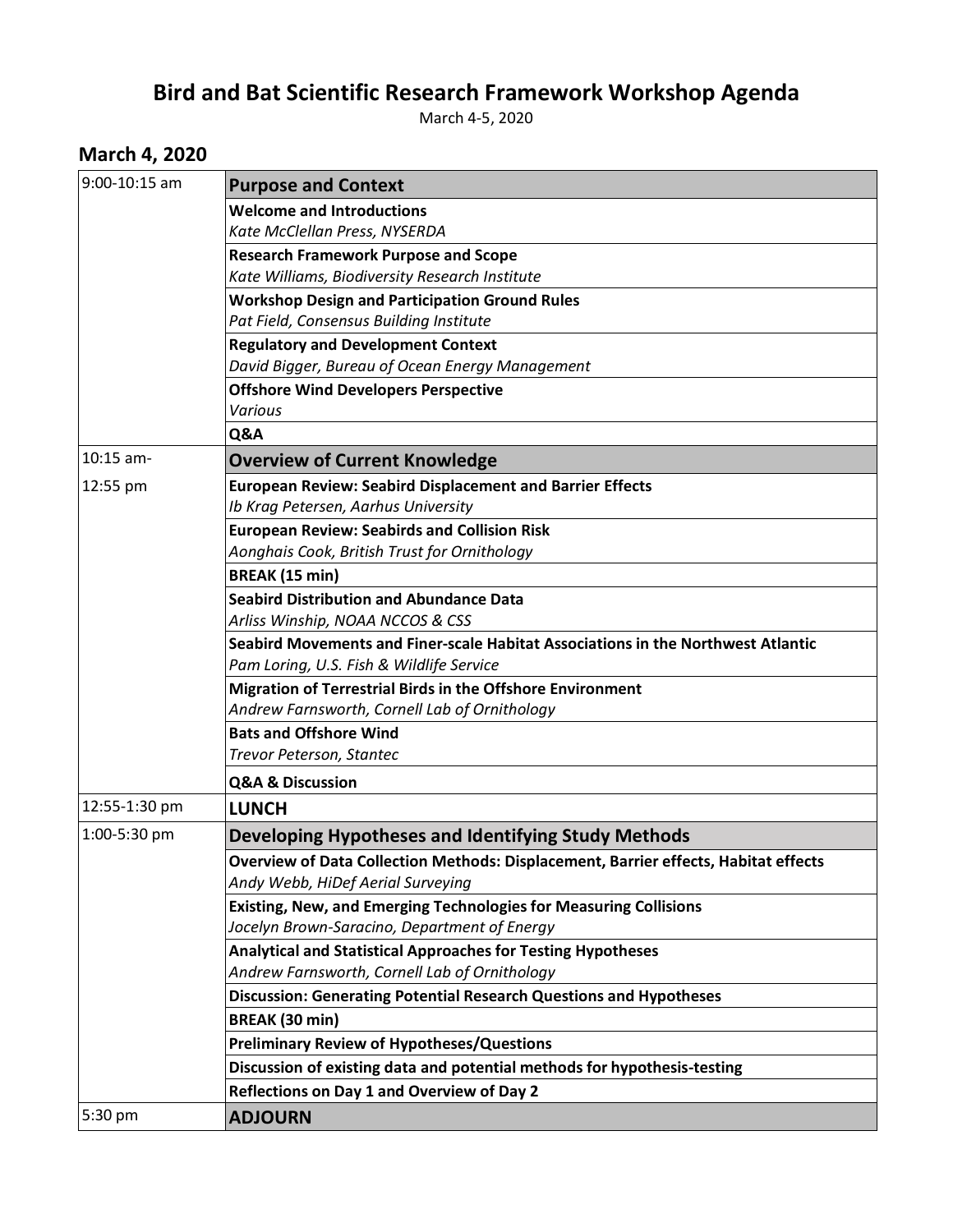## **Bird and Bat Scientific Research Framework Workshop Agenda**

March 4-5, 2020

## **March 4, 2020**

| 9:00-10:15 am | <b>Purpose and Context</b>                                                                 |
|---------------|--------------------------------------------------------------------------------------------|
|               | <b>Welcome and Introductions</b>                                                           |
|               | Kate McClellan Press, NYSERDA                                                              |
|               | <b>Research Framework Purpose and Scope</b>                                                |
|               | Kate Williams, Biodiversity Research Institute                                             |
|               | <b>Workshop Design and Participation Ground Rules</b>                                      |
|               | Pat Field, Consensus Building Institute                                                    |
|               | <b>Regulatory and Development Context</b>                                                  |
|               | David Bigger, Bureau of Ocean Energy Management                                            |
|               | <b>Offshore Wind Developers Perspective</b>                                                |
|               | Various                                                                                    |
|               | Q&A                                                                                        |
| $10:15$ am-   | <b>Overview of Current Knowledge</b>                                                       |
| 12:55 pm      | <b>European Review: Seabird Displacement and Barrier Effects</b>                           |
|               | Ib Krag Petersen, Aarhus University                                                        |
|               | <b>European Review: Seabirds and Collision Risk</b>                                        |
|               | Aonghais Cook, British Trust for Ornithology                                               |
|               | <b>BREAK (15 min)</b>                                                                      |
|               | <b>Seabird Distribution and Abundance Data</b>                                             |
|               | Arliss Winship, NOAA NCCOS & CSS                                                           |
|               | Seabird Movements and Finer-scale Habitat Associations in the Northwest Atlantic           |
|               | Pam Loring, U.S. Fish & Wildlife Service                                                   |
|               | Migration of Terrestrial Birds in the Offshore Environment                                 |
|               | Andrew Farnsworth, Cornell Lab of Ornithology                                              |
|               | <b>Bats and Offshore Wind</b>                                                              |
|               | Trevor Peterson, Stantec                                                                   |
|               | <b>Q&amp;A &amp; Discussion</b>                                                            |
| 12:55-1:30 pm | <b>LUNCH</b>                                                                               |
| 1:00-5:30 pm  | Developing Hypotheses and Identifying Study Methods                                        |
|               | <b>Overview of Data Collection Methods: Displacement, Barrier effects, Habitat effects</b> |
|               | Andy Webb, HiDef Aerial Surveying                                                          |
|               | Existing, New, and Emerging Technologies for Measuring Collisions                          |
|               | Jocelyn Brown-Saracino, Department of Energy                                               |
|               | Analytical and Statistical Approaches for Testing Hypotheses                               |
|               | Andrew Farnsworth, Cornell Lab of Ornithology                                              |
|               | Discussion: Generating Potential Research Questions and Hypotheses                         |
|               | <b>BREAK (30 min)</b>                                                                      |
|               | <b>Preliminary Review of Hypotheses/Questions</b>                                          |
|               | Discussion of existing data and potential methods for hypothesis-testing                   |
|               | Reflections on Day 1 and Overview of Day 2                                                 |
| 5:30 pm       | <b>ADJOURN</b>                                                                             |